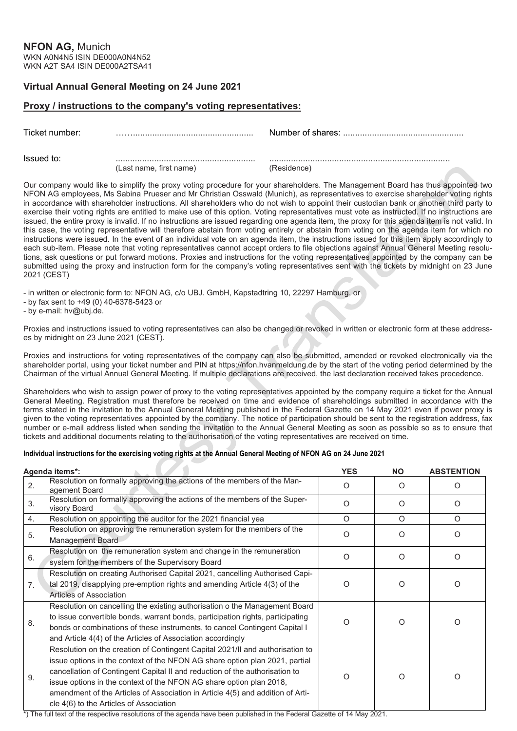## **Virtual Annual General Meeting on 24 June 2021**

## **Proxy / instructions to the company's voting representatives:**

Ticket number: …….................................................. Number of shares: ..................................................

 $\blacksquare$ 

(Last name, first name) (Residence)

Our company would like to simplify the proxy voting procedure for your shareholders. The Management Board has thus appointed two NFON AG employees, Ms Sabina Prueser and Mr Christian Osswald (Munich), as representatives to exercise shareholder voting rights in accordance with shareholder instructions. All shareholders who do not wish to appoint their custodian bank or another third party to exercise their voting rights are entitled to make use of this option. Voting representatives must vote as instructed. If no instructions are issued, the entire proxy is invalid. If no instructions are issued regarding one agenda item, the proxy for this agenda item is not valid. In this case, the voting representative will therefore abstain from voting entirely or abstain from voting on the agenda item for which no instructions were issued. In the event of an individual vote on an agenda item, the instructions issued for this item apply accordingly to each sub-item. Please note that voting representatives cannot accept orders to file objections against Annual General Meeting resolutions, ask questions or put forward motions. Proxies and instructions for the voting representatives appointed by the company can be submitted using the proxy and instruction form for the company's voting representatives sent with the tickets by midnight on 23 June 2021 (CEST)

- in written or electronic form to: NFON AG, c/o UBJ. GmbH, Kapstadtring 10, 22297 Hamburg, or

- by fax sent to +49 (0) 40-6378-5423 or

- by e-mail: hv@ubj.de.

Proxies and instructions issued to voting representatives can also be changed or revoked in written or electronic form at these addresses by midnight on 23 June 2021 (CEST).

Proxies and instructions for voting representatives of the company can also be submitted, amended or revoked electronically via the shareholder portal, using your ticket number and PIN at https://nfon.hvanmeldung.de by the start of the voting period determined by the Chairman of the virtual Annual General Meeting. If multiple declarations are received, the last declaration received takes precedence.

Shareholders who wish to assign power of proxy to the voting representatives appointed by the company require a ticket for the Annual General Meeting. Registration must therefore be received on time and evidence of shareholdings submitted in accordance with the terms stated in the invitation to the Annual General Meeting published in the Federal Gazette on 14 May 2021 even if power proxy is given to the voting representatives appointed by the company. The notice of participation should be sent to the registration address, fax number or e-mail address listed when sending the invitation to the Annual General Meeting as soon as possible so as to ensure that tickets and additional documents relating to the authorisation of the voting representatives are received on time.

## **Individual instructions for the exercising voting rights at the Annual General Meeting of NFON AG on 24 June 2021**

|                | Agenda items*:                                                                                                                                                                                                                                                                                                                                                                                                                                  | <b>YES</b> | <b>NO</b> | <b>ABSTENTION</b> |
|----------------|-------------------------------------------------------------------------------------------------------------------------------------------------------------------------------------------------------------------------------------------------------------------------------------------------------------------------------------------------------------------------------------------------------------------------------------------------|------------|-----------|-------------------|
| 2.             | Resolution on formally approving the actions of the members of the Man-<br>agement Board                                                                                                                                                                                                                                                                                                                                                        | $\circ$    | O         | O                 |
| 3.             | Resolution on formally approving the actions of the members of the Super-<br>visory Board                                                                                                                                                                                                                                                                                                                                                       | O          | $\Omega$  | O                 |
| 4.             | Resolution on appointing the auditor for the 2021 financial yea                                                                                                                                                                                                                                                                                                                                                                                 | $\circ$    | O         | O                 |
| 5.             | Resolution on approving the remuneration system for the members of the<br>Management Board                                                                                                                                                                                                                                                                                                                                                      | O          | O         | O                 |
| 6.             | Resolution on the remuneration system and change in the remuneration<br>system for the members of the Supervisory Board                                                                                                                                                                                                                                                                                                                         | Ω          | $\Omega$  | $\Omega$          |
| 7 <sub>1</sub> | Resolution on creating Authorised Capital 2021, cancelling Authorised Capi-<br>tal 2019, disapplying pre-emption rights and amending Article 4(3) of the<br>Articles of Association                                                                                                                                                                                                                                                             | O          | ∩         | O                 |
| 8.             | Resolution on cancelling the existing authorisation o the Management Board<br>to issue convertible bonds, warrant bonds, participation rights, participating<br>bonds or combinations of these instruments, to cancel Contingent Capital I<br>and Article 4(4) of the Articles of Association accordingly                                                                                                                                       | Ω          | ∩         | O                 |
| 9.             | Resolution on the creation of Contingent Capital 2021/II and authorisation to<br>issue options in the context of the NFON AG share option plan 2021, partial<br>cancellation of Contingent Capital II and reduction of the authorisation to<br>issue options in the context of the NFON AG share option plan 2018,<br>amendment of the Articles of Association in Article 4(5) and addition of Arti-<br>cle 4(6) to the Articles of Association | Ω          | $\Omega$  | Ω                 |

\*) The full text of the respective resolutions of the agenda have been published in the Federal Gazette of 14 May 2021.